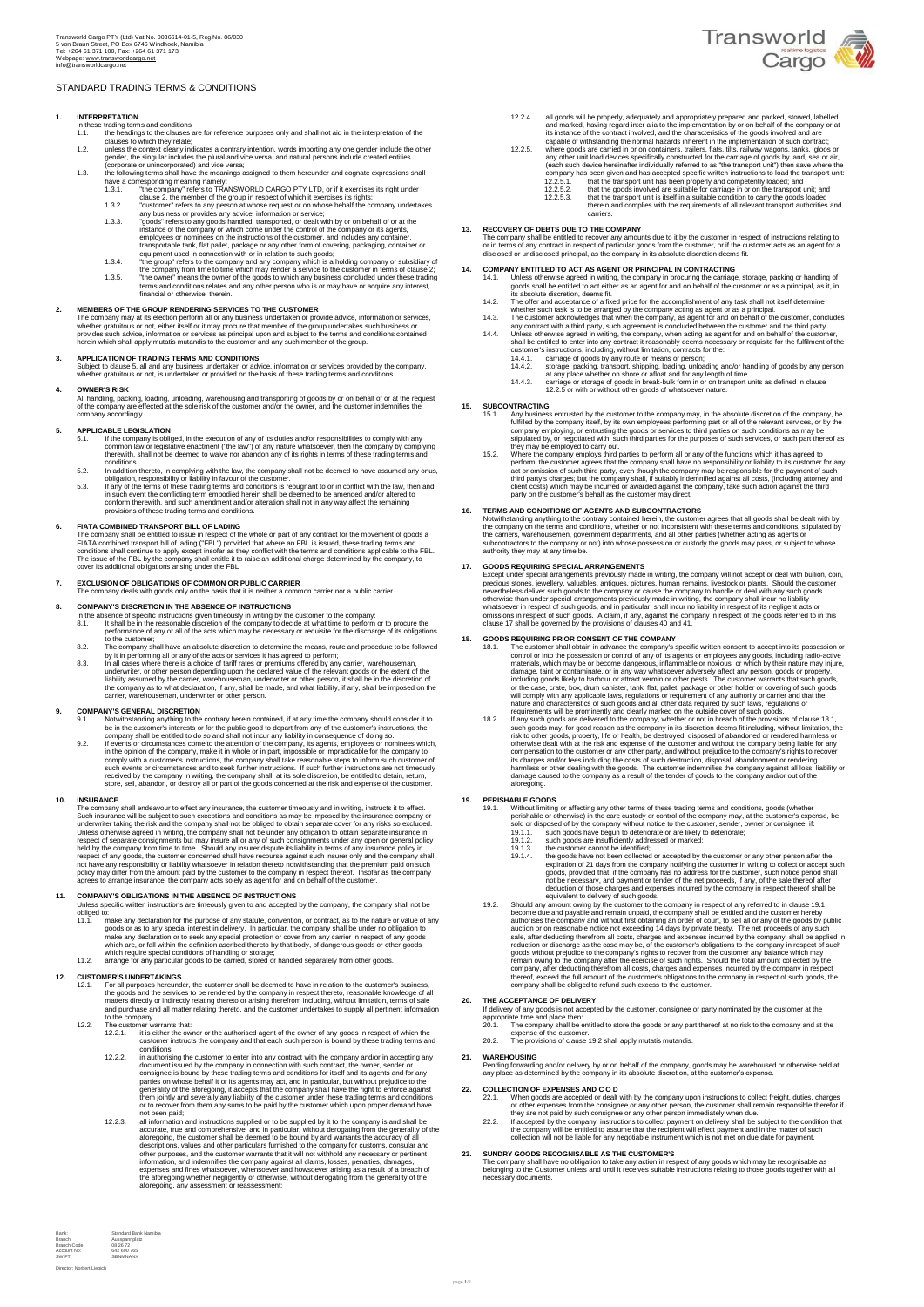## STANDARD TRADING TERMS & CONDITIONS

- -
	- -
- 1. INTERPRETATION<br>
In these tradings to the clauses are for reference purposes only and shall not aid in the interpretation of the<br>
the headings to the clauses are for reference purposes only and shall not aid in the inter
	-
	-

### **2. MEMBERS OF THE GROUP RENDERING SERVICES TO THE CUSTOMER**

The company may at its election perform all or any business undertaken or provide advice, information or services,<br>whether gratuitous or not, either itself or it may procure that member of the group undertakes such busines

# **3. APPLICATION OF TRADING TERMS AND CONDITIONS**

Subject to clause 5, all and any business undertaken or advice, information or services provided by the company, whether gratuitous or not, is undertaken or provided on the basis of these trading terms and conditions.

## **4. OWNER'S RISK**

All handling, packing, loading, unloading, warehousing and transporting of goods by or on behalf of or at the request<br>of the company are effected at the sole risk of the customer and/or the owner, and the customer indemnif

# **5. APPLICABLE LEGISLATION**

- 5.1. If the company is obliged, in the execution of any of its duties and/or responsibilities to comply with any<br>common law or legislative enactment ("the law") of any nature whatsoever, then the company by complying<br>there
- conditions.<br>
In addition thereto, in complying with the law, the company shall not be deemed to have assumed any onus,<br>
5.3. In addition thereto, in complicity of liabitity in favour of the customer.<br>
5.3. If any of the te
- ions of these trading terms and conditions.

6. FTATA COMBINED TRANSPORT BILL OF LADING<br>The company shall be entitled to issue in respect of the whole or part of any contract for the movement of goods a<br>FIATA combined transport bill of lading ("FBL") provided that wh

**7. EXCLUSION OF OBLIGATIONS OF COMMON OR PUBLIC CARRIER**  The company deals with goods only on the basis that it is neither a common carrier nor a public carrier.

- **8. COMPANY'S DISCRETION IN THE ABSENCE OF INSTRUCTIONS** In the absence of specific instructions given timeously in writing by the 8.1. It shall be in the reasonable discretion of the company to dec In the absence of specific instructions given timeously in writing by the customer to the company,<br>18.1. It shall be in the reasonable discretion of the company to decide at what time to perform or to procure the<br>performan
	- by it in performing all or any of the acts or services it has agreed to perform;<br>all all cases where there is a choice of tariff rates or premiums offered by any carrier, warehouseman,<br>underwriter, or other person dependin

### **9. COMPANY'S GENERAL DISCRETION**

- 
- 9.1. Notwithstanding anything to the contrary herein contained, if at any time the company should consider it to the public good to depart from any of the customer's instructions, the company shall be entitled to do so and

**10.** INSURANCE The company shall endeavour to effect any insurance, the customer timeously and in writing, instructs it to effect. Such insurance may be more than the subject to such exceptions and concidions as may be im

# **11. COMPANY'S OBLIGATIONS IN THE ABSENCE OF INSTRUCTIONS**  Unless specific written instructions are timeously given to and accepted by the company, the company shall not be

- obliged to:<br>
11.1. make any declaration for the purpose of any statute, convention, or contract, as to the nature or value of any<br>
goods or as to any special interest in delivery. In particular, the company shall be under
- 

- 12. CUSTOMER'S UNDERTAKINGS<br>
21.1. For all purposes hereunder, the customer shall be deemed to have in relation to the customer's business,<br>
the goods and the services to be rendered by the company in respect thereto, reas
	-
	- 12.2. The customer warrants that:<br>12.2.1. it is either the owner or the authorised agent of the owner of any goods in respect of which the<br>conditions;<br>conditions;
		- 12.2.2. in authorising the customer to enter into any contract with the company and/or in accepting any consigne is bound by these trading terms and conditions for itself and its experiment parties on whose behalf it or it
		- 12.2.3. all information and instructions supplied or to be supplied by it to the company is and shall be accurate, true and comprehensive, and in particular, without derogating from the generality of the aforegoing, the cu



Director: Norbert Liebich



- -
- 12.2.4. all goods will be properly, adequately and appropriately prepared and packed, stowed, labelled and marked, having regard inter alia to the implementation by or on behalf of the company or at its instance of the com

13. RECOVERY OF DEBTS DUE TO THE COMPANY<br>The company shall be entitled to recover any amounts due to it by the customer in respect of instructions relating to<br>or in terms of any contract in respect of particular goods from

- 14. COMPANY ENTITLED TO ACT AS AGENT OR PRINCIPAL IN CONTRACTING<br>14.1. Unless otherwise agreed in writing, the company in procuring the carriage, storage, packing or handling of<br>goods shall be entitled to act either as an
	-
	-
	- 14.2. The offer and acceptance of a fixed price for the accomplishment of any task shall not itself determine<br>
	whether such task is to be arranged by the company acting as agent or as a principal.<br>
	14.3. The usts may contr
		-
		-

# **15. SUBCONTRACTING**

- 15.1. Any business entrusted by the customer to the company may, in the absolute discretion of the company be<br>fluilled by the company itself, by its own employees performing part or all of the relevant services, or by the<br>
- perform, the customer agrees that the company shall have no responsibility or liability to its customer for any<br>act or omission of such third party, even though the company may be responsible for the payment of such<br>third

# **16. TERMS AND CONDITIONS OF AGENTS AND SUBCONTRACTORS**

Notwithstanding anything to the contrary contained herein, the customer agrees that all goods shall be dealt with by<br>the company on the terms and conditions, whether or not inconsistent with these terms and conditions, sti

17. GOODS REQUIRING SPECIAL ARRANGEMENTS<br>
Except under special arrangements previously made in writing, the company will not accept or deal with bullion, coin<br>
precious stonces, jewellery, valuables, antituges, pictures, h

# **18. GOODS REQUIRING PRIOR CONSENT OF THE COMPANY**

- 
- 18.1. The customer shall obtain in advance the company's specific written consent to accept into its possession or control of any of its agents or employees any goods, including radio-active materials, which may be or beco

# **19. PERISHABLE GOODS**

- 
- 
- 19.1. Without limiting or affecting any other terms of these trading terms and conditions, goods (whether the state of the constrained to cherence softed.<br>
19.1.1. such goods have began to deteriorate or are likely to dete

If delivery of any goods is not accepted by the customer, consignee or party nominated by the customer at the<br>appropriate time and place then:<br>20.1. The company shall be entitled to store the goods or any part thereof at n

- 
- 
- **21. WAREHOUSING** 
	- Pending forwarding and/or delivery by or on behalf of the company, goods may be warehoused or otherwise held at any place as determined by the company in its absolute discretion, at the customer's expense.

- 22. CLLECTION OF EXPENSES AND C O D<br>
22.1. When goods are accepted or dealt with by the company upon instructions to collect freight, duties, charges<br>
or other expenses from the consignee or any other person, the customer
- **23. SUNDRY GOODS RECOGNISABLE AS THE CUSTOMER'S**

The company shall have no obligation to take any action in respect of any goods which may be recognisable as<br>belonging to the Customer unless and until it receives suitable instructions relating to those goods together wit ng ta the cease.<br>ary documents.

- -
- -

20. **THE ACCEPTANCE OF DELIVERY**<br>If delivery of any goods is not accepted by the customer, consignee or party nominated by the customer at the